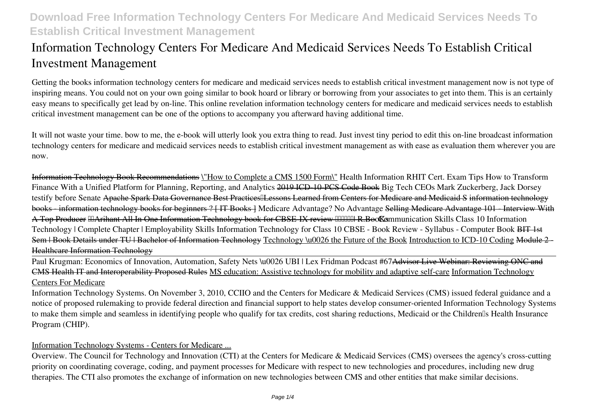# **Information Technology Centers For Medicare And Medicaid Services Needs To Establish Critical Investment Management**

Getting the books **information technology centers for medicare and medicaid services needs to establish critical investment management** now is not type of inspiring means. You could not on your own going similar to book hoard or library or borrowing from your associates to get into them. This is an certainly easy means to specifically get lead by on-line. This online revelation information technology centers for medicare and medicaid services needs to establish critical investment management can be one of the options to accompany you afterward having additional time.

It will not waste your time. bow to me, the e-book will utterly look you extra thing to read. Just invest tiny period to edit this on-line broadcast **information technology centers for medicare and medicaid services needs to establish critical investment management** as with ease as evaluation them wherever you are now.

Information Technology Book Recommendations \"How to Complete a CMS 1500 Form\" *Health Information RHIT Cert. Exam Tips How to Transform Finance With a Unified Platform for Planning, Reporting, and Analytics 2019 ICD-10-PCS Code Book Big Tech CEOs Mark Zuckerberg, Jack Dorsey testify before Senate* Apache Spark Data Governance Best Practices Lessons Learned from Centers for Medicare and Medicaid S information technology books - information technology books for beginners ? [ IT Books ] *Medicare Advantage? No Advantage* Selling Medicare Advantage 101 - Interview With A Top Producer Ha Arihant All In One Information Technology book for CBSE-IX review **HHHHH R.BooK**s mmunication Skills Class 10 Information *Technology | Complete Chapter | Employability Skills Information Technology for Class 10 CBSE - Book Review - Syllabus - Computer Book* BIT 1st Sem | Book Details under TU | Bachelor of Information Technology Technology \u0026 the Future of the Book Introduction to ICD-10 Coding Module 2 Healthcare Information Technology

Paul Krugman: Economics of Innovation, Automation, Safety Nets \u0026 UBI | Lex Fridman Podcast #67Advisor Live Webinar: Reviewing ONC and CMS Health IT and Interoperability Proposed Rules MS education: Assistive technology for mobility and adaptive self-care Information Technology Centers For Medicare

Information Technology Systems. On November 3, 2010, CCIIO and the Centers for Medicare & Medicaid Services (CMS) issued federal guidance and a notice of proposed rulemaking to provide federal direction and financial support to help states develop consumer-oriented Information Technology Systems to make them simple and seamless in identifying people who qualify for tax credits, cost sharing reductions, Medicaid or the Children's Health Insurance Program (CHIP).

## Information Technology Systems - Centers for Medicare ...

Overview. The Council for Technology and Innovation (CTI) at the Centers for Medicare & Medicaid Services (CMS) oversees the agency's cross-cutting priority on coordinating coverage, coding, and payment processes for Medicare with respect to new technologies and procedures, including new drug therapies. The CTI also promotes the exchange of information on new technologies between CMS and other entities that make similar decisions.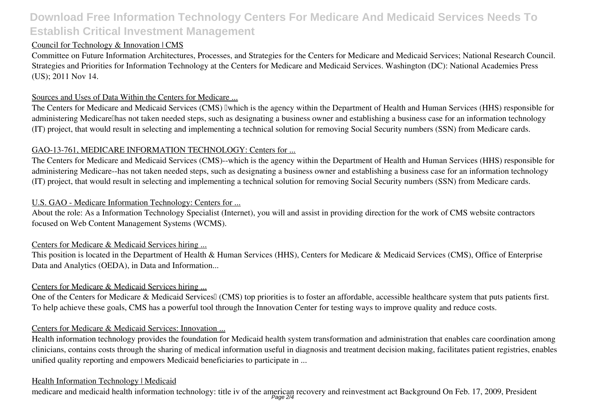## Council for Technology & Innovation | CMS

Committee on Future Information Architectures, Processes, and Strategies for the Centers for Medicare and Medicaid Services; National Research Council. Strategies and Priorities for Information Technology at the Centers for Medicare and Medicaid Services. Washington (DC): National Academies Press (US); 2011 Nov 14.

## Sources and Uses of Data Within the Centers for Medicare ...

The Centers for Medicare and Medicaid Services (CMS) Iwhich is the agency within the Department of Health and Human Services (HHS) responsible for administering Medicarellhas not taken needed steps, such as designating a business owner and establishing a business case for an information technology (IT) project, that would result in selecting and implementing a technical solution for removing Social Security numbers (SSN) from Medicare cards.

## GAO-13-761, MEDICARE INFORMATION TECHNOLOGY: Centers for ...

The Centers for Medicare and Medicaid Services (CMS)--which is the agency within the Department of Health and Human Services (HHS) responsible for administering Medicare--has not taken needed steps, such as designating a business owner and establishing a business case for an information technology (IT) project, that would result in selecting and implementing a technical solution for removing Social Security numbers (SSN) from Medicare cards.

## U.S. GAO - Medicare Information Technology: Centers for ...

About the role: As a Information Technology Specialist (Internet), you will and assist in providing direction for the work of CMS website contractors focused on Web Content Management Systems (WCMS).

## Centers for Medicare & Medicaid Services hiring ...

This position is located in the Department of Health & Human Services (HHS), Centers for Medicare & Medicaid Services (CMS), Office of Enterprise Data and Analytics (OEDA), in Data and Information...

## Centers for Medicare & Medicaid Services hiring ...

One of the Centers for Medicare & Medicaid Services<sup>[]</sup> (CMS) top priorities is to foster an affordable, accessible healthcare system that puts patients first. To help achieve these goals, CMS has a powerful tool through the Innovation Center for testing ways to improve quality and reduce costs.

## Centers for Medicare & Medicaid Services: Innovation ...

Health information technology provides the foundation for Medicaid health system transformation and administration that enables care coordination among clinicians, contains costs through the sharing of medical information useful in diagnosis and treatment decision making, facilitates patient registries, enables unified quality reporting and empowers Medicaid beneficiaries to participate in ...

#### Health Information Technology | Medicaid

medicare and medicaid health information technology: title iv of the american recovery and reinvestment act Background On Feb. 17, 2009, President<br>Page 2/4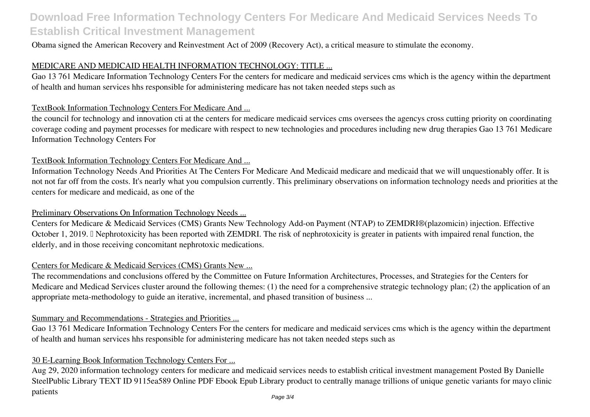Obama signed the American Recovery and Reinvestment Act of 2009 (Recovery Act), a critical measure to stimulate the economy.

## MEDICARE AND MEDICAID HEALTH INFORMATION TECHNOLOGY: TITLE ...

Gao 13 761 Medicare Information Technology Centers For the centers for medicare and medicaid services cms which is the agency within the department of health and human services hhs responsible for administering medicare has not taken needed steps such as

#### TextBook Information Technology Centers For Medicare And ...

the council for technology and innovation cti at the centers for medicare medicaid services cms oversees the agencys cross cutting priority on coordinating coverage coding and payment processes for medicare with respect to new technologies and procedures including new drug therapies Gao 13 761 Medicare Information Technology Centers For

#### TextBook Information Technology Centers For Medicare And ...

Information Technology Needs And Priorities At The Centers For Medicare And Medicaid medicare and medicaid that we will unquestionably offer. It is not not far off from the costs. It's nearly what you compulsion currently. This preliminary observations on information technology needs and priorities at the centers for medicare and medicaid, as one of the

#### Preliminary Observations On Information Technology Needs ...

Centers for Medicare & Medicaid Services (CMS) Grants New Technology Add-on Payment (NTAP) to ZEMDRI®(plazomicin) injection. Effective October 1, 2019. I Nephrotoxicity has been reported with ZEMDRI. The risk of nephrotoxicity is greater in patients with impaired renal function, the elderly, and in those receiving concomitant nephrotoxic medications.

#### Centers for Medicare & Medicaid Services (CMS) Grants New ...

The recommendations and conclusions offered by the Committee on Future Information Architectures, Processes, and Strategies for the Centers for Medicare and Medicad Services cluster around the following themes: (1) the need for a comprehensive strategic technology plan; (2) the application of an appropriate meta-methodology to guide an iterative, incremental, and phased transition of business ...

## Summary and Recommendations - Strategies and Priorities ...

Gao 13 761 Medicare Information Technology Centers For the centers for medicare and medicaid services cms which is the agency within the department of health and human services hhs responsible for administering medicare has not taken needed steps such as

#### 30 E-Learning Book Information Technology Centers For ...

Aug 29, 2020 information technology centers for medicare and medicaid services needs to establish critical investment management Posted By Danielle SteelPublic Library TEXT ID 9115ea589 Online PDF Ebook Epub Library product to centrally manage trillions of unique genetic variants for mayo clinic patients